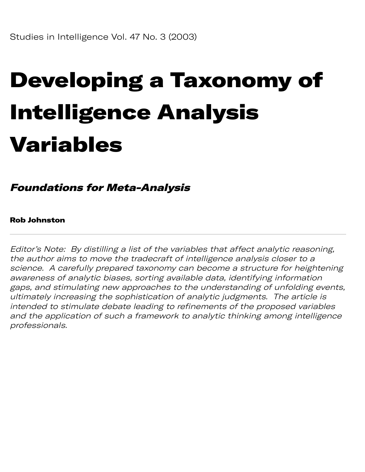# Developing a Taxonomy of Intelligence Analysis Variables

Foundations for Meta-Analysis

Rob Johnston

Editor's Note: By distilling a list of the variables that affect analytic reasoning, the author aims to move the tradecraft of intelligence analysis closer to a science. A carefully prepared taxonomy can become a structure for heightening awareness of analytic biases, sorting available data, identifying information gaps, and stimulating new approaches to the understanding of unfolding events, ultimately increasing the sophistication of analytic judgments. The article is intended to stimulate debate leading to refinements of the proposed variables and the application of such a framework to analytic thinking among intelligence professionals.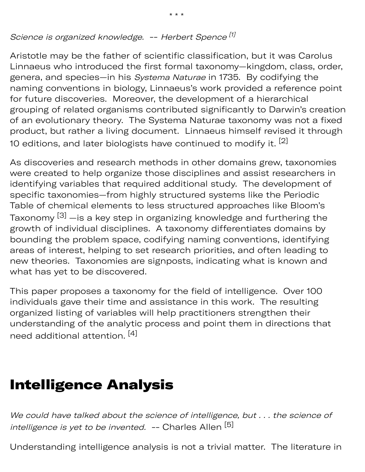Science is organized knowledge. -- Herbert Spence<sup>[1]</sup>

Aristotle may be the father of scientific classification, but it was Carolus Linnaeus who introduced the first formal taxonomy—kingdom, class, order, genera, and species—in his Systema Naturae in 1735. By codifying the naming conventions in biology, Linnaeus's work provided a reference point for future discoveries. Moreover, the development of a hierarchical grouping of related organisms contributed significantly to Darwin's creation of an evolutionary theory. The Systema Naturae taxonomy was not a fixed product, but rather a living document. Linnaeus himself revised it through 10 editions, and later biologists have continued to modify it. <sup>[2]</sup>

As discoveries and research methods in other domains grew, taxonomies were created to help organize those disciplines and assist researchers in identifying variables that required additional study. The development of specific taxonomies—from highly structured systems like the Periodic Table of chemical elements to less structured approaches like Bloom's Taxonomy  $^{[3]}$  —is a key step in organizing knowledge and furthering the growth of individual disciplines. A taxonomy differentiates domains by bounding the problem space, codifying naming conventions, identifying areas of interest, helping to set research priorities, and often leading to new theories. Taxonomies are signposts, indicating what is known and what has yet to be discovered.

This paper proposes a taxonomy for the field of intelligence. Over 100 individuals gave their time and assistance in this work. The resulting organized listing of variables will help practitioners strengthen their understanding of the analytic process and point them in directions that need additional attention. [4]

#### Intelligence Analysis

We could have talked about the science of intelligence, but . . . the science of intelligence is yet to be invented. -- Charles Allen [5]

Understanding intelligence analysis is not a trivial matter. The literature in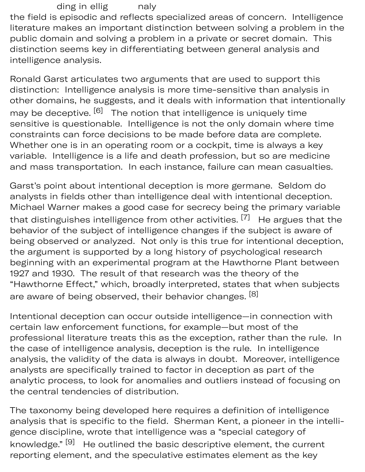ding in ellig naly the field is episodic and reflects specialized areas of concern. Intelligence literature makes an important distinction between solving a problem in the public domain and solving a problem in a private or secret domain. This distinction seems key in differentiating between general analysis and intelligence analysis.

Ronald Garst articulates two arguments that are used to support this distinction: Intelligence analysis is more time-sensitive than analysis in other domains, he suggests, and it deals with information that intentionally may be deceptive. <sup>[6]</sup> The notion that intelligence is uniquely time sensitive is questionable. Intelligence is not the only domain where time constraints can force decisions to be made before data are complete. Whether one is in an operating room or a cockpit, time is always a key variable. Intelligence is a life and death profession, but so are medicine and mass transportation. In each instance, failure can mean casualties.

Garst's point about intentional deception is more germane. Seldom do analysts in fields other than intelligence deal with intentional deception. Michael Warner makes a good case for secrecy being the primary variable that distinguishes intelligence from other activities.  $^{\left[ 7\right] }$   $\,$  He argues that the behavior of the subject of intelligence changes if the subject is aware of being observed or analyzed. Not only is this true for intentional deception, the argument is supported by a long history of psychological research beginning with an experimental program at the Hawthorne Plant between 1927 and 1930. The result of that research was the theory of the "Hawthorne Effect," which, broadly interpreted, states that when subjects are aware of being observed, their behavior changes. [8]

Intentional deception can occur outside intelligence—in connection with certain law enforcement functions, for example—but most of the professional literature treats this as the exception, rather than the rule. In the case of intelligence analysis, deception is the rule. In intelligence analysis, the validity of the data is always in doubt. Moreover, intelligence analysts are specifically trained to factor in deception as part of the analytic process, to look for anomalies and outliers instead of focusing on the central tendencies of distribution.

The taxonomy being developed here requires a definition of intelligence analysis that is specific to the field. Sherman Kent, a pioneer in the intelligence discipline, wrote that intelligence was a "special category of knowledge."  $^{[9]}$  He outlined the basic descriptive element, the current reporting element, and the speculative estimates element as the key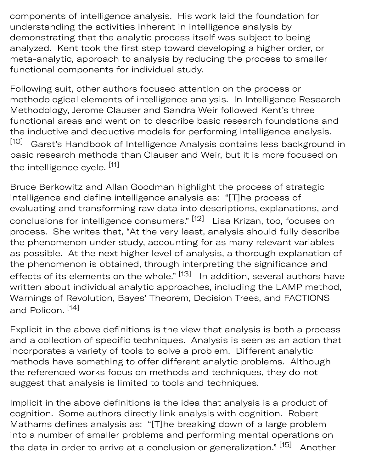components of intelligence analysis. His work laid the foundation for understanding the activities inherent in intelligence analysis by demonstrating that the analytic process itself was subject to being analyzed. Kent took the first step toward developing a higher order, or meta-analytic, approach to analysis by reducing the process to smaller functional components for individual study.

Following suit, other authors focused attention on the process or methodological elements of intelligence analysis. In Intelligence Research Methodology, Jerome Clauser and Sandra Weir followed Kent's three functional areas and went on to describe basic research foundations and the inductive and deductive models for performing intelligence analysis. Garst's Handbook of Intelligence Analysis contains less background in basic research methods than Clauser and Weir, but it is more focused on the intelligence cycle. [11] [10]

Bruce Berkowitz and Allan Goodman highlight the process of strategic intelligence and define intelligence analysis as: "[T]he process of evaluating and transforming raw data into descriptions, explanations, and conclusions for intelligence consumers." <sup>[12]</sup> Lisa Krizan, too, focuses on process. She writes that, "At the very least, analysis should fully describe the phenomenon under study, accounting for as many relevant variables as possible. At the next higher level of analysis, a thorough explanation of the phenomenon is obtained, through interpreting the significance and effects of its elements on the whole."  $^{\left[ 13\right] }$  In addition, several authors have written about individual analytic approaches, including the LAMP method, Warnings of Revolution, Bayes' Theorem, Decision Trees, and FACTIONS and Policon. [14]

Explicit in the above definitions is the view that analysis is both a process and a collection of specific techniques. Analysis is seen as an action that incorporates a variety of tools to solve a problem. Different analytic methods have something to offer different analytic problems. Although the referenced works focus on methods and techniques, they do not suggest that analysis is limited to tools and techniques.

Implicit in the above definitions is the idea that analysis is a product of cognition. Some authors directly link analysis with cognition. Robert Mathams defines analysis as: "[T]he breaking down of a large problem into a number of smaller problems and performing mental operations on the data in order to arrive at a conclusion or generalization."<sup>[15]</sup> Another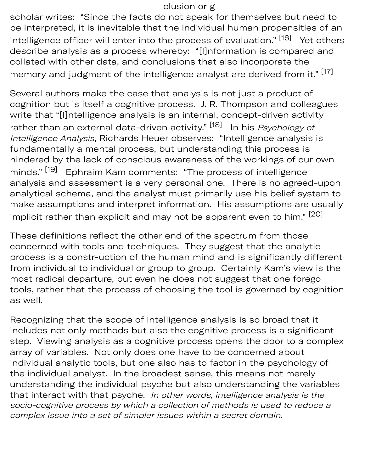#### clusion or g

scholar writes: "Since the facts do not speak for themselves but need to be interpreted, it is inevitable that the individual human propensities of an intelligence officer will enter into the process of evaluation." <sup>[16]</sup> Yet others describe analysis as a process whereby: "[I]nformation is compared and collated with other data, and conclusions that also incorporate the memory and judgment of the intelligence analyst are derived from it."<sup>[17]</sup>

Several authors make the case that analysis is not just a product of cognition but is itself a cognitive process. J. R. Thompson and colleagues write that "[I]ntelligence analysis is an internal, concept-driven activity rather than an external data-driven activity." <sup>[18]</sup> In his *Psychology of* Intelligence Analysis, Richards Heuer observes: "Intelligence analysis is fundamentally a mental process, but understanding this process is hindered by the lack of conscious awareness of the workings of our own minds."<sup>[19]</sup> Ephraim Kam comments: "The process of intelligence analysis and assessment is a very personal one. There is no agreed-upon analytical schema, and the analyst must primarily use his belief system to make assumptions and interpret information. His assumptions are usually implicit rather than explicit and may not be apparent even to him." [20]

These definitions reflect the other end of the spectrum from those concerned with tools and techniques. They suggest that the analytic process is a constr-uction of the human mind and is significantly different from individual to individual or group to group. Certainly Kam's view is the most radical departure, but even he does not suggest that one forego tools, rather that the process of choosing the tool is governed by cognition as well.

Recognizing that the scope of intelligence analysis is so broad that it includes not only methods but also the cognitive process is a significant step. Viewing analysis as a cognitive process opens the door to a complex array of variables. Not only does one have to be concerned about individual analytic tools, but one also has to factor in the psychology of the individual analyst. In the broadest sense, this means not merely understanding the individual psyche but also understanding the variables that interact with that psyche. In other words, intelligence analysis is the socio-cognitive process by which a collection of methods is used to reduce a complex issue into a set of simpler issues within a secret domain.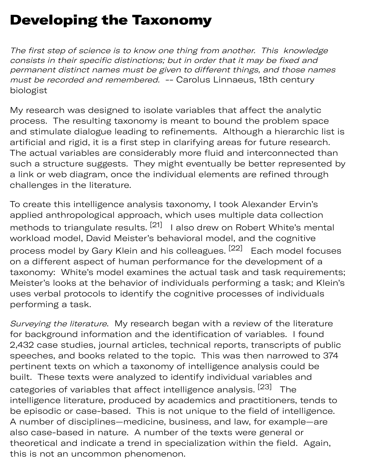## Developing the Taxonomy

The first step of science is to know one thing from another. This knowledge consists in their specific distinctions; but in order that it may be fixed and permanent distinct names must be given to different things, and those names must be recorded and remembered. -- Carolus Linnaeus, 18th century biologist

My research was designed to isolate variables that affect the analytic process. The resulting taxonomy is meant to bound the problem space and stimulate dialogue leading to refinements. Although a hierarchic list is artificial and rigid, it is a first step in clarifying areas for future research. The actual variables are considerably more fluid and interconnected than such a structure suggests. They might eventually be better represented by a link or web diagram, once the individual elements are refined through challenges in the literature.

To create this intelligence analysis taxonomy, I took Alexander Ervin's applied anthropological approach, which uses multiple data collection methods to triangulate results.  $^{[21]}$  I also drew on Robert White's mental workload model, David Meister's behavioral model, and the cognitive process model by Gary Klein and his colleagues. <sup>[22]</sup> Each model focuses on a different aspect of human performance for the development of a taxonomy: White's model examines the actual task and task requirements; Meister's looks at the behavior of individuals performing a task; and Klein's uses verbal protocols to identify the cognitive processes of individuals performing a task.

Surveying the literature. My research began with a review of the literature for background information and the identification of variables. I found 2,432 case studies, journal articles, technical reports, transcripts of public speeches, and books related to the topic. This was then narrowed to 374 pertinent texts on which a taxonomy of intelligence analysis could be built. These texts were analyzed to identify individual variables and categories of variables that affect intelligence analysis. <sup>[23]</sup> The intelligence literature, produced by academics and practitioners, tends to be episodic or case-based. This is not unique to the field of intelligence. A number of disciplines—medicine, business, and law, for example—are also case-based in nature. A number of the texts were general or theoretical and indicate a trend in specialization within the field. Again, this is not an uncommon phenomenon.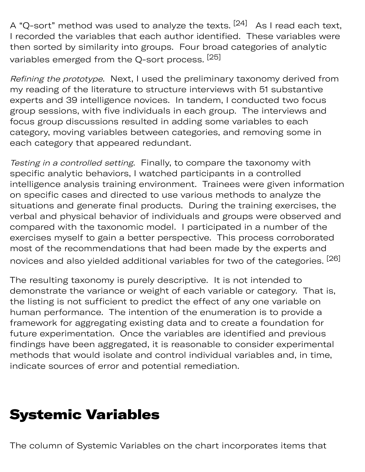A "Q-sort" method was used to analyze the texts. <sup>[24]</sup> As I read each text, I recorded the variables that each author identified. These variables were then sorted by similarity into groups. Four broad categories of analytic variables emerged from the Q-sort process. [25]

Refining the prototype. Next, I used the preliminary taxonomy derived from my reading of the literature to structure interviews with 51 substantive experts and 39 intelligence novices. In tandem, I conducted two focus group sessions, with five individuals in each group. The interviews and focus group discussions resulted in adding some variables to each category, moving variables between categories, and removing some in each category that appeared redundant.

Testing in a controlled setting. Finally, to compare the taxonomy with specific analytic behaviors, I watched participants in a controlled intelligence analysis training environment. Trainees were given information on specific cases and directed to use various methods to analyze the situations and generate final products. During the training exercises, the verbal and physical behavior of individuals and groups were observed and compared with the taxonomic model. I participated in a number of the exercises myself to gain a better perspective. This process corroborated most of the recommendations that had been made by the experts and novices and also yielded additional variables for two of the categories. <sup>[26]</sup>

The resulting taxonomy is purely descriptive. It is not intended to demonstrate the variance or weight of each variable or category. That is, the listing is not sufficient to predict the effect of any one variable on human performance. The intention of the enumeration is to provide a framework for aggregating existing data and to create a foundation for future experimentation. Once the variables are identified and previous findings have been aggregated, it is reasonable to consider experimental methods that would isolate and control individual variables and, in time, indicate sources of error and potential remediation.

#### Systemic Variables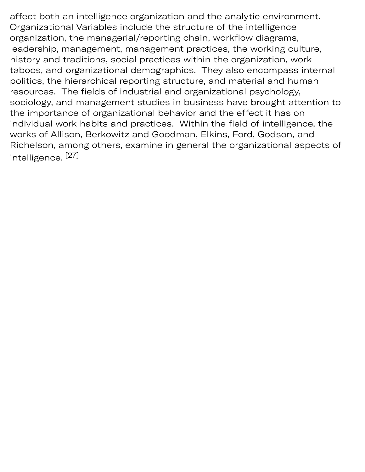affect both an intelligence organization and the analytic environment. Organizational Variables include the structure of the intelligence organization, the managerial/reporting chain, workflow diagrams, leadership, management, management practices, the working culture, history and traditions, social practices within the organization, work taboos, and organizational demographics. They also encompass internal politics, the hierarchical reporting structure, and material and human resources. The fields of industrial and organizational psychology, sociology, and management studies in business have brought attention to the importance of organizational behavior and the effect it has on individual work habits and practices. Within the field of intelligence, the works of Allison, Berkowitz and Goodman, Elkins, Ford, Godson, and Richelson, among others, examine in general the organizational aspects of intelligence. [27]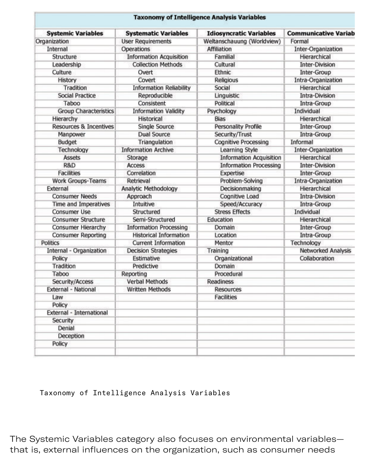| <b>Systemic Variables</b>         | <b>Systematic Variables</b>    | <b>Idiosyncratic Variables</b> | <b>Communicative Variab</b> |
|-----------------------------------|--------------------------------|--------------------------------|-----------------------------|
| Organization                      | <b>User Requirements</b>       | Weltanschauung (Worldview)     | Formal                      |
| Internal                          | Operations                     | Affiliation                    | Inter-Organization          |
| Structure                         | <b>Information Acquisition</b> | Familial                       | Hierarchical                |
| Leadership                        | <b>Collection Methods</b>      | Cultural                       | <b>Inter-Division</b>       |
| Culture                           | Overt                          | Ethnic                         | <b>Inter-Group</b>          |
| History                           | Covert                         | Religious                      | Intra-Organization          |
| Tradition                         | <b>Information Reliability</b> | Social                         | Hierarchical                |
| <b>Social Practice</b>            | Reproducible                   | Linguistic                     | <b>Intra-Division</b>       |
| Taboo                             | Consistent                     | Political                      | Intra-Group                 |
| <b>Group Characteristics</b>      | <b>Information Validity</b>    | Psychology                     | Individual                  |
| Hierarchy                         | Historical                     | <b>Bias</b>                    | Hierarchical                |
| <b>Resources &amp; Incentives</b> | Single Source                  | <b>Personality Profile</b>     | Inter-Group                 |
| Manpower                          | <b>Dual Source</b>             | Security/Trust                 | Intra-Group                 |
| Budget                            | Triangulation                  | Cognitive Processing           | Informal                    |
| Technology                        | <b>Information Archive</b>     | Learning Style                 | Inter-Organization          |
| <b>Assets</b>                     | Storage                        | <b>Information Acquisition</b> | Hierarchical                |
| R&D                               | Access                         | <b>Information Processing</b>  | <b>Inter-Division</b>       |
| <b>Facilities</b>                 | Correlation                    | Expertise                      | Inter-Group                 |
| Work Groups-Teams                 | Retrieval                      | Problem-Solving                | Intra-Organization          |
| External                          | Analytic Methodology           | Decisionmaking                 | Hierarchical                |
| <b>Consumer Needs</b>             | Approach                       | Cognitive Load                 | Intra-Division              |
| Time and Imperatives              | Intuitive                      | Speed/Accuracy                 | Intra-Group                 |
| Consumer Use                      | Structured                     | <b>Stress Effects</b>          | Individual                  |
| <b>Consumer Structure</b>         | Semi-Structured                | Education                      | Hierarchical                |
| Consumer Hierarchy                | <b>Information Processing</b>  | Domain                         | Inter-Group                 |
| <b>Consumer Reporting</b>         | <b>Historical Information</b>  | Location                       | Intra-Group                 |
| Politics                          | <b>Current Information</b>     | Mentor                         | Technology                  |
| Internal - Organization           | <b>Decision Strategies</b>     | Training                       | Networked Analysis          |
| Policy                            | Estimative                     | Organizational                 | Collaboration               |
| Tradition                         | Predictive                     | Domain                         |                             |
| Taboo                             | Reporting                      | Procedural                     |                             |
| Security/Access                   | Verbal Methods                 | <b>Readiness</b>               |                             |
| External - National               | <b>Written Methods</b>         | <b>Resources</b>               |                             |
| Law                               |                                | <b>Facilities</b>              |                             |
| Policy                            |                                |                                |                             |
| External - International          |                                |                                |                             |
| Security                          |                                |                                |                             |
| Denial                            |                                |                                |                             |
| Deception                         |                                |                                |                             |
| Policy                            |                                |                                |                             |

Taxonomy of Intelligence Analysis Variables

The Systemic Variables category also focuses on environmental variables that is, external influences on the organization, such as consumer needs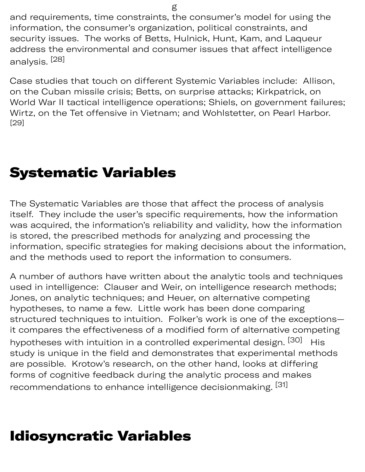and requirements, time constraints, the consumer's model for using the information, the consumer's organization, political constraints, and security issues. The works of Betts, Hulnick, Hunt, Kam, and Laqueur address the environmental and consumer issues that affect intelligence analysis. [28]

Case studies that touch on different Systemic Variables include: Allison, on the Cuban missile crisis; Betts, on surprise attacks; Kirkpatrick, on World War II tactical intelligence operations; Shiels, on government failures; Wirtz, on the Tet offensive in Vietnam; and Wohlstetter, on Pearl Harbor. [29]

### Systematic Variables

The Systematic Variables are those that affect the process of analysis itself. They include the user's specific requirements, how the information was acquired, the information's reliability and validity, how the information is stored, the prescribed methods for analyzing and processing the information, specific strategies for making decisions about the information, and the methods used to report the information to consumers.

A number of authors have written about the analytic tools and techniques used in intelligence: Clauser and Weir, on intelligence research methods; Jones, on analytic techniques; and Heuer, on alternative competing hypotheses, to name a few. Little work has been done comparing structured techniques to intuition. Folker's work is one of the exceptions it compares the effectiveness of a modified form of alternative competing hypotheses with intuition in a controlled experimental design. <sup>[30]</sup> His study is unique in the field and demonstrates that experimental methods are possible. Krotow's research, on the other hand, looks at differing forms of cognitive feedback during the analytic process and makes recommendations to enhance intelligence decisionmaking.  $^{\left[ 31\right] }$ 

## Idiosyncratic Variables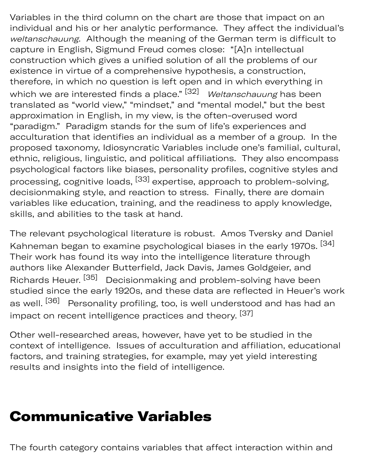Variables in the third column on the chart are those that impact on an individual and his or her analytic performance. They affect the individual's weltanschauung. Although the meaning of the German term is difficult to capture in English, Sigmund Freud comes close: "[A]n intellectual construction which gives a unified solution of all the problems of our existence in virtue of a comprehensive hypothesis, a construction, therefore, in which no question is left open and in which everything in which we are interested finds a place." <sup>[32]</sup> *Weltanschauung* has been translated as "world view," "mindset," and "mental model," but the best approximation in English, in my view, is the often-overused word "paradigm." Paradigm stands for the sum of life's experiences and acculturation that identifies an individual as a member of a group. In the proposed taxonomy, Idiosyncratic Variables include one's familial, cultural, ethnic, religious, linguistic, and political affiliations. They also encompass psychological factors like biases, personality profiles, cognitive styles and processing, cognitive loads, <sup>[33]</sup> expertise, approach to problem-solving, decisionmaking style, and reaction to stress. Finally, there are domain variables like education, training, and the readiness to apply knowledge, skills, and abilities to the task at hand.

The relevant psychological literature is robust. Amos Tversky and Daniel Kahneman began to examine psychological biases in the early 1970s.  $^{\left[ 34\right] }$ Their work has found its way into the intelligence literature through authors like Alexander Butterfield, Jack Davis, James Goldgeier, and Richards Heuer. <sup>[35]</sup> Decisionmaking and problem-solving have been studied since the early 1920s, and these data are reflected in Heuer's work as well. <sup>[36]</sup> Personality profiling, too, is well understood and has had an impact on recent intelligence practices and theory. [37]

Other well-researched areas, however, have yet to be studied in the context of intelligence. Issues of acculturation and affiliation, educational factors, and training strategies, for example, may yet yield interesting results and insights into the field of intelligence.

#### Communicative Variables

The fourth category contains variables that affect interaction within and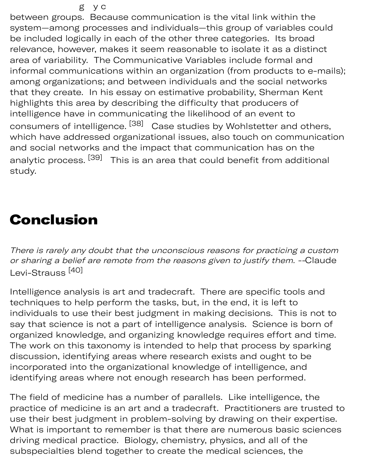between groups. Because communication is the vital link within the system—among processes and individuals—this group of variables could be included logically in each of the other three categories. Its broad relevance, however, makes it seem reasonable to isolate it as a distinct area of variability. The Communicative Variables include formal and informal communications within an organization (from products to e-mails); among organizations; and between individuals and the social networks that they create. In his essay on estimative probability, Sherman Kent highlights this area by describing the difficulty that producers of intelligence have in communicating the likelihood of an event to consumers of intelligence. <sup>[38]</sup> Case studies by Wohlstetter and others, which have addressed organizational issues, also touch on communication and social networks and the impact that communication has on the analytic process. <sup>[39]</sup> This is an area that could benefit from additional study.

#### Conclusion

There is rarely any doubt that the unconscious reasons for practicing a custom or sharing a belief are remote from the reasons given to justify them. --Claude Levi-Strauss<sup>[40]</sup>

Intelligence analysis is art and tradecraft. There are specific tools and techniques to help perform the tasks, but, in the end, it is left to individuals to use their best judgment in making decisions. This is not to say that science is not a part of intelligence analysis. Science is born of organized knowledge, and organizing knowledge requires effort and time. The work on this taxonomy is intended to help that process by sparking discussion, identifying areas where research exists and ought to be incorporated into the organizational knowledge of intelligence, and identifying areas where not enough research has been performed.

The field of medicine has a number of parallels. Like intelligence, the practice of medicine is an art and a tradecraft. Practitioners are trusted to use their best judgment in problem-solving by drawing on their expertise. What is important to remember is that there are numerous basic sciences driving medical practice. Biology, chemistry, physics, and all of the subspecialties blend together to create the medical sciences, the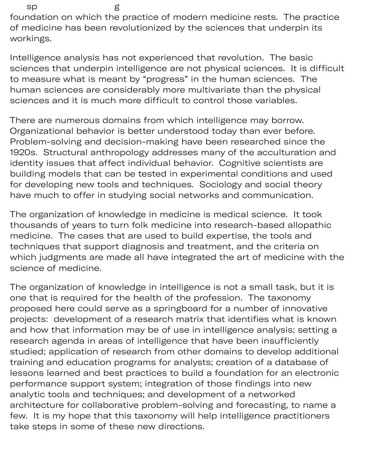sp g foundation on which the practice of modern medicine rests. The practice of medicine has been revolutionized by the sciences that underpin its workings.

Intelligence analysis has not experienced that revolution. The basic sciences that underpin intelligence are not physical sciences. It is difficult to measure what is meant by "progress" in the human sciences. The human sciences are considerably more multivariate than the physical sciences and it is much more difficult to control those variables.

There are numerous domains from which intelligence may borrow. Organizational behavior is better understood today than ever before. Problem-solving and decision-making have been researched since the 1920s. Structural anthropology addresses many of the acculturation and identity issues that affect individual behavior. Cognitive scientists are building models that can be tested in experimental conditions and used for developing new tools and techniques. Sociology and social theory have much to offer in studying social networks and communication.

The organization of knowledge in medicine is medical science. It took thousands of years to turn folk medicine into research-based allopathic medicine. The cases that are used to build expertise, the tools and techniques that support diagnosis and treatment, and the criteria on which judgments are made all have integrated the art of medicine with the science of medicine.

The organization of knowledge in intelligence is not a small task, but it is one that is required for the health of the profession. The taxonomy proposed here could serve as a springboard for a number of innovative projects: development of a research matrix that identifies what is known and how that information may be of use in intelligence analysis; setting a research agenda in areas of intelligence that have been insufficiently studied; application of research from other domains to develop additional training and education programs for analysts; creation of a database of lessons learned and best practices to build a foundation for an electronic performance support system; integration of those findings into new analytic tools and techniques; and development of a networked architecture for collaborative problem-solving and forecasting, to name a few. It is my hope that this taxonomy will help intelligence practitioners take steps in some of these new directions.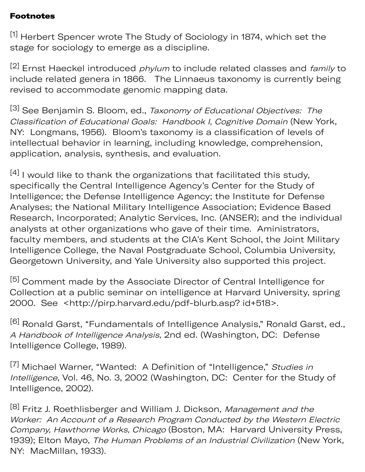#### Footnotes

[1] Herbert Spencer wrote The Study of Sociology in 1874, which set the stage for sociology to emerge as a discipline.

 $[2]$  Ernst Haeckel introduced *phylum* to include related classes and *family* to include related genera in 1866. The Linnaeus taxonomy is currently being revised to accommodate genomic mapping data.

[3] See Benjamin S. Bloom, ed., Taxonomy of Educational Objectives: The Classification of Educational Goals: Handbook I, Cognitive Domain (New York, NY: Longmans, 1956). Bloom's taxonomy is a classification of levels of intellectual behavior in learning, including knowledge, comprehension, application, analysis, synthesis, and evaluation.

 $[4]$  I would like to thank the organizations that facilitated this study, specifically the Central Intelligence Agency's Center for the Study of Intelligence; the Defense Intelligence Agency; the Institute for Defense Analyses; the National Military Intelligence Association; Evidence Based Research, Incorporated; Analytic Services, Inc. (ANSER); and the individual analysts at other organizations who gave of their time. Aministrators, faculty members, and students at the CIA's Kent School, the Joint Military Intelligence College, the Naval Postgraduate School, Columbia University, Georgetown University, and Yale University also supported this project.

[5] Comment made by the Associate Director of Central Intelligence for Collection at a public seminar on intelligence at Harvard University, spring 2000. See [<http://pirp.harvard.edu/pdf-blurb.asp?](http://pirp.harvard.edu/pdf-blurb.asp) id+518>.

[6] Ronald Garst, "Fundamentals of Intelligence Analysis," Ronald Garst, ed., A Handbook of Intelligence Analysis, 2nd ed. (Washington, DC: Defense Intelligence College, 1989).

<sup>[7]</sup> Michael Warner, "Wanted: A Definition of "Intelligence," Studies in Intelligence, Vol. 46, No. 3, 2002 (Washington, DC: Center for the Study of Intelligence, 2002).

<sup>[8]</sup> Fritz J. Roethlisberger and William J. Dickson, *Management and the* Worker: An Account of a Research Program Conducted by the Western Electric Company, Hawthorne Works, Chicago (Boston, MA: Harvard University Press, 1939); Elton Mayo, The Human Problems of an Industrial Civilization (New York, NY: MacMillan, 1933).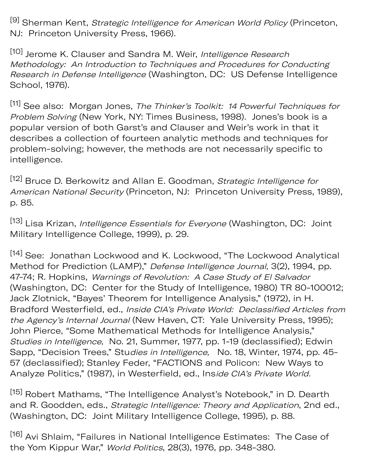[9] Sherman Kent, Strategic Intelligence for American World Policy (Princeton, NJ: Princeton University Press, 1966).

[10] Jerome K. Clauser and Sandra M. Weir, Intelligence Research Methodology: An Introduction to Techniques and Procedures for Conducting Research in Defense Intelligence (Washington, DC: US Defense Intelligence School, 1976).

[11] See also: Morgan Jones, The Thinker's Toolkit: 14 Powerful Techniques for Problem Solving (New York, NY: Times Business, 1998). Jones's book is a popular version of both Garst's and Clauser and Weir's work in that it describes a collection of fourteen analytic methods and techniques for problem-solving; however, the methods are not necessarily specific to intelligence.

[12] Bruce D. Berkowitz and Allan E. Goodman, Strategic Intelligence for American National Security (Princeton, NJ: Princeton University Press, 1989), p. 85.

[13] Lisa Krizan, *Intelligence Essentials for Everyone* (Washington, DC: Joint Military Intelligence College, 1999), p. 29.

[14] See: Jonathan Lockwood and K. Lockwood, "The Lockwood Analytical Method for Prediction (LAMP)," Defense Intelligence Journal, 3(2), 1994, pp. 47-74; R. Hopkins, Warnings of Revolution: A Case Study of El Salvador (Washington, DC: Center for the Study of Intelligence, 1980) TR 80-100012; Jack Zlotnick, "Bayes' Theorem for Intelligence Analysis," (1972), in H. Bradford Westerfield, ed., Inside CIA's Private World: Declassified Articles from the Agency's Internal Journal (New Haven, CT: Yale University Press, 1995); John Pierce, "Some Mathematical Methods for Intelligence Analysis," Studies in Intelligence, No. 21, Summer, 1977, pp. 1-19 (declassified); Edwin Sapp, "Decision Trees," Studies in Intelligence, No. 18, Winter, 1974, pp. 45-57 (declassified); Stanley Feder, "FACTIONS and Policon: New Ways to Analyze Politics," (1987), in Westerfield, ed., Inside CIA's Private World.

[15] Robert Mathams, "The Intelligence Analyst's Notebook," in D. Dearth and R. Goodden, eds., Strategic Intelligence: Theory and Application, 2nd ed., (Washington, DC: Joint Military Intelligence College, 1995), p. 88.

[16] Avi Shlaim, "Failures in National Intelligence Estimates: The Case of the Yom Kippur War," World Politics, 28(3), 1976, pp. 348-380.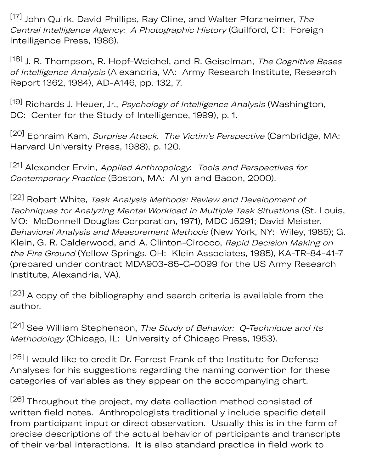[17] John Quirk, David Phillips, Ray Cline, and Walter Pforzheimer, The Central Intelligence Agency: A Photographic History (Guilford, CT: Foreign Intelligence Press, 1986).

[18] J. R. Thompson, R. Hopf-Weichel, and R. Geiselman, The Cognitive Bases of Intelligence Analysis (Alexandria, VA: Army Research Institute, Research Report 1362, 1984), AD-A146, pp. 132, 7.

[19] Richards J. Heuer, Jr., Psychology of Intelligence Analysis (Washington, DC: Center for the Study of Intelligence, 1999), p. 1.

[20] Ephraim Kam, Surprise Attack. The Victim's Perspective (Cambridge, MA: Harvard University Press, 1988), p. 120.

[21] Alexander Ervin, Applied Anthropology: Tools and Perspectives for Contemporary Practice (Boston, MA: Allyn and Bacon, 2000).

[22] Robert White, Task Analysis Methods: Review and Development of Techniques for Analyzing Mental Workload in Multiple Task Situations (St. Louis, MO: McDonnell Douglas Corporation, 1971), MDC J5291; David Meister, Behavioral Analysis and Measurement Methods (New York, NY: Wiley, 1985); G. Klein, G. R. Calderwood, and A. Clinton-Cirocco, Rapid Decision Making on the Fire Ground (Yellow Springs, OH: Klein Associates, 1985), KA-TR-84-41-7 (prepared under contract MDA903-85-G-0099 for the US Army Research Institute, Alexandria, VA).

[23] A copy of the bibliography and search criteria is available from the author.

[24] See William Stephenson, The Study of Behavior: Q-Technique and its Methodology (Chicago, IL: University of Chicago Press, 1953).

[25] I would like to credit Dr. Forrest Frank of the Institute for Defense Analyses for his suggestions regarding the naming convention for these categories of variables as they appear on the accompanying chart.

[26] Throughout the project, my data collection method consisted of written field notes. Anthropologists traditionally include specific detail from participant input or direct observation. Usually this is in the form of precise descriptions of the actual behavior of participants and transcripts of their verbal interactions. It is also standard practice in field work to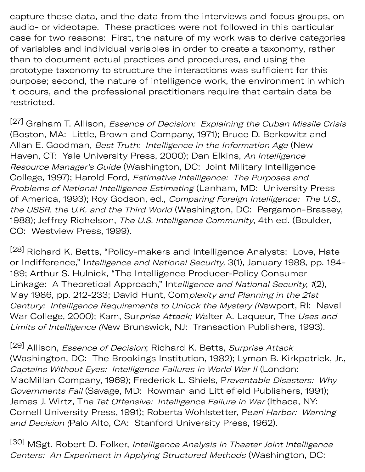capture these data, and the data from the interviews and focus groups, on audio- or videotape. These practices were not followed in this particular case for two reasons: First, the nature of my work was to derive categories of variables and individual variables in order to create a taxonomy, rather than to document actual practices and procedures, and using the prototype taxonomy to structure the interactions was sufficient for this purpose; second, the nature of intelligence work, the environment in which it occurs, and the professional practitioners require that certain data be restricted.

<sup>[27]</sup> Graham T. Allison, *Essence of Decision: Explaining the Cuban Missile Crisis* (Boston, MA: Little, Brown and Company, 1971); Bruce D. Berkowitz and Allan E. Goodman, Best Truth: Intelligence in the Information Age (New Haven, CT: Yale University Press, 2000); Dan Elkins, An Intelligence Resource Manager's Guide (Washington, DC: Joint Military Intelligence College, 1997); Harold Ford, Estimative Intelligence: The Purposes and Problems of National Intelligence Estimating (Lanham, MD: University Press of America, 1993); Roy Godson, ed., Comparing Foreign Intelligence: The U.S., the USSR, the U.K. and the Third World (Washington, DC: Pergamon-Brassey, 1988); Jeffrey Richelson, The U.S. Intelligence Community, 4th ed. (Boulder, CO: Westview Press, 1999).

[28] Richard K. Betts, "Policy-makers and Intelligence Analysts: Love, Hate or Indifference," Intelligence and National Security, 3(1), January 1988, pp. 184- 189; Arthur S. Hulnick, "The Intelligence Producer-Policy Consumer Linkage: A Theoretical Approach," Intelligence and National Security, 1(2), May 1986, pp. 212-233; David Hunt, Complexity and Planning in the 21st Century: Intelligence Requirements to Unlock the Mystery (Newport, RI: Naval War College, 2000); Kam, Surprise Attack; Walter A. Laqueur, The Uses and Limits of Intelligence (New Brunswick, NJ: Transaction Publishers, 1993).

[29] Allison, *Essence of Decision*; Richard K. Betts, *Surprise Attack* (Washington, DC: The Brookings Institution, 1982); Lyman B. Kirkpatrick, Jr., Captains Without Eyes: Intelligence Failures in World War II (London: MacMillan Company, 1969); Frederick L. Shiels, Preventable Disasters: Why Governments Fail (Savage, MD: Rowman and Littlefield Publishers, 1991); James J. Wirtz, The Tet Offensive: Intelligence Failure in War (Ithaca, NY: Cornell University Press, 1991); Roberta Wohlstetter, Pearl Harbor: Warning and Decision (Palo Alto, CA: Stanford University Press, 1962).

[30] MSgt. Robert D. Folker, Intelligence Analysis in Theater Joint Intelligence Centers: An Experiment in Applying Structured Methods (Washington, DC: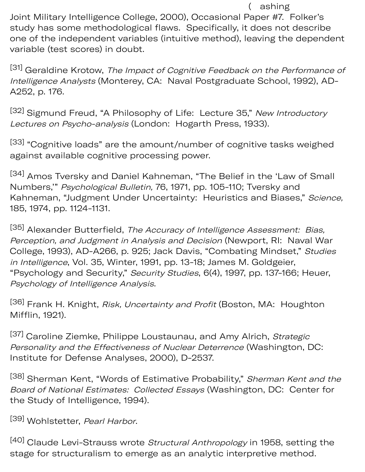( ashing Joint Military Intelligence College, 2000), Occasional Paper #7. Folker's study has some methodological flaws. Specifically, it does not describe one of the independent variables (intuitive method), leaving the dependent variable (test scores) in doubt.

[31] Geraldine Krotow, The Impact of Cognitive Feedback on the Performance of Intelligence Analysts (Monterey, CA: Naval Postgraduate School, 1992), AD-A252, p. 176.

[32] Sigmund Freud, "A Philosophy of Life: Lecture 35," New Introductory Lectures on Psycho-analysis (London: Hogarth Press, 1933).

[33] "Cognitive loads" are the amount/number of cognitive tasks weighed against available cognitive processing power.

[34] Amos Tversky and Daniel Kahneman, "The Belief in the 'Law of Small Numbers,'" Psychological Bulletin, 76, 1971, pp. 105-110; Tversky and Kahneman, "Judgment Under Uncertainty: Heuristics and Biases," Science, 185, 1974, pp. 1124-1131.

[35] Alexander Butterfield, The Accuracy of Intelligence Assessment: Bias, Perception, and Judgment in Analysis and Decision (Newport, RI: Naval War College, 1993), AD-A266, p. 925; Jack Davis, "Combating Mindset," Studies in Intelligence, Vol. 35, Winter, 1991, pp. 13-18; James M. Goldgeier, "Psychology and Security," Security Studies, 6(4), 1997, pp. 137-166; Heuer, Psychology of Intelligence Analysis.

[36] Frank H. Knight, Risk, Uncertainty and Profit (Boston, MA: Houghton Mifflin, 1921).

<sup>[37]</sup> Caroline Ziemke, Philippe Loustaunau, and Amy Alrich, Strategic Personality and the Effectiveness of Nuclear Deterrence (Washington, DC: Institute for Defense Analyses, 2000), D-2537.

[38] Sherman Kent, "Words of Estimative Probability," Sherman Kent and the Board of National Estimates: Collected Essays (Washington, DC: Center for the Study of Intelligence, 1994).

[39] Wohlstetter, Pearl Harbor.

[40] Claude Levi-Strauss wrote Structural Anthropology in 1958, setting the stage for structuralism to emerge as an analytic interpretive method.